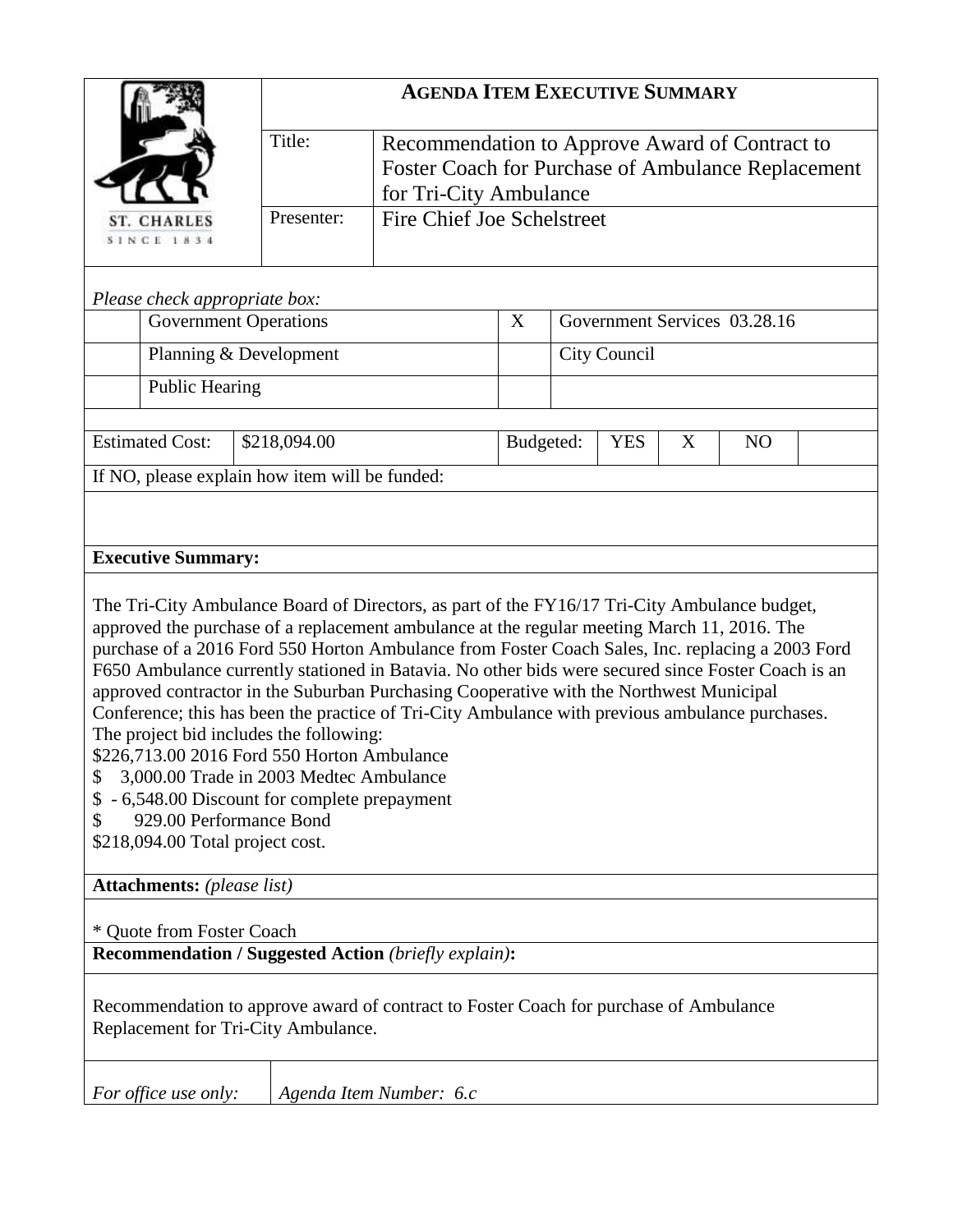|                                                                                                                                                                                                                                                                                                                                                                                                                                                                                                                                                                                                                                                                                                                                                                                                                                                        | <b>AGENDA ITEM EXECUTIVE SUMMARY</b> |                                                                                                                                |           |                                   |  |  |  |  |  |  |
|--------------------------------------------------------------------------------------------------------------------------------------------------------------------------------------------------------------------------------------------------------------------------------------------------------------------------------------------------------------------------------------------------------------------------------------------------------------------------------------------------------------------------------------------------------------------------------------------------------------------------------------------------------------------------------------------------------------------------------------------------------------------------------------------------------------------------------------------------------|--------------------------------------|--------------------------------------------------------------------------------------------------------------------------------|-----------|-----------------------------------|--|--|--|--|--|--|
|                                                                                                                                                                                                                                                                                                                                                                                                                                                                                                                                                                                                                                                                                                                                                                                                                                                        | Title:                               | Recommendation to Approve Award of Contract to<br>Foster Coach for Purchase of Ambulance Replacement<br>for Tri-City Ambulance |           |                                   |  |  |  |  |  |  |
| <b>ST. CHARLES</b><br><b>SINCE 1834</b>                                                                                                                                                                                                                                                                                                                                                                                                                                                                                                                                                                                                                                                                                                                                                                                                                | Presenter:                           | <b>Fire Chief Joe Schelstreet</b>                                                                                              |           |                                   |  |  |  |  |  |  |
| Please check appropriate box:                                                                                                                                                                                                                                                                                                                                                                                                                                                                                                                                                                                                                                                                                                                                                                                                                          |                                      |                                                                                                                                |           |                                   |  |  |  |  |  |  |
| <b>Government Operations</b>                                                                                                                                                                                                                                                                                                                                                                                                                                                                                                                                                                                                                                                                                                                                                                                                                           |                                      |                                                                                                                                |           | Government Services 03.28.16      |  |  |  |  |  |  |
| Planning & Development                                                                                                                                                                                                                                                                                                                                                                                                                                                                                                                                                                                                                                                                                                                                                                                                                                 |                                      |                                                                                                                                |           | City Council                      |  |  |  |  |  |  |
| <b>Public Hearing</b>                                                                                                                                                                                                                                                                                                                                                                                                                                                                                                                                                                                                                                                                                                                                                                                                                                  |                                      |                                                                                                                                |           |                                   |  |  |  |  |  |  |
| <b>Estimated Cost:</b><br>\$218,094.00                                                                                                                                                                                                                                                                                                                                                                                                                                                                                                                                                                                                                                                                                                                                                                                                                 |                                      |                                                                                                                                | Budgeted: | <b>YES</b><br>X<br>N <sub>O</sub> |  |  |  |  |  |  |
| If NO, please explain how item will be funded:                                                                                                                                                                                                                                                                                                                                                                                                                                                                                                                                                                                                                                                                                                                                                                                                         |                                      |                                                                                                                                |           |                                   |  |  |  |  |  |  |
|                                                                                                                                                                                                                                                                                                                                                                                                                                                                                                                                                                                                                                                                                                                                                                                                                                                        |                                      |                                                                                                                                |           |                                   |  |  |  |  |  |  |
| <b>Executive Summary:</b>                                                                                                                                                                                                                                                                                                                                                                                                                                                                                                                                                                                                                                                                                                                                                                                                                              |                                      |                                                                                                                                |           |                                   |  |  |  |  |  |  |
| The Tri-City Ambulance Board of Directors, as part of the FY16/17 Tri-City Ambulance budget,<br>approved the purchase of a replacement ambulance at the regular meeting March 11, 2016. The<br>purchase of a 2016 Ford 550 Horton Ambulance from Foster Coach Sales, Inc. replacing a 2003 Ford<br>F650 Ambulance currently stationed in Batavia. No other bids were secured since Foster Coach is an<br>approved contractor in the Suburban Purchasing Cooperative with the Northwest Municipal<br>Conference; this has been the practice of Tri-City Ambulance with previous ambulance purchases.<br>The project bid includes the following:<br>\$226,713.00 2016 Ford 550 Horton Ambulance<br>3,000.00 Trade in 2003 Medtec Ambulance<br>- 6,548.00 Discount for complete prepayment<br>929.00 Performance Bond<br>\$218,094.00 Total project cost. |                                      |                                                                                                                                |           |                                   |  |  |  |  |  |  |
| <b>Attachments:</b> (please list)                                                                                                                                                                                                                                                                                                                                                                                                                                                                                                                                                                                                                                                                                                                                                                                                                      |                                      |                                                                                                                                |           |                                   |  |  |  |  |  |  |
| * Quote from Foster Coach<br><b>Recommendation / Suggested Action (briefly explain):</b>                                                                                                                                                                                                                                                                                                                                                                                                                                                                                                                                                                                                                                                                                                                                                               |                                      |                                                                                                                                |           |                                   |  |  |  |  |  |  |
|                                                                                                                                                                                                                                                                                                                                                                                                                                                                                                                                                                                                                                                                                                                                                                                                                                                        |                                      |                                                                                                                                |           |                                   |  |  |  |  |  |  |
| Recommendation to approve award of contract to Foster Coach for purchase of Ambulance<br>Replacement for Tri-City Ambulance.                                                                                                                                                                                                                                                                                                                                                                                                                                                                                                                                                                                                                                                                                                                           |                                      |                                                                                                                                |           |                                   |  |  |  |  |  |  |
| For office use only:                                                                                                                                                                                                                                                                                                                                                                                                                                                                                                                                                                                                                                                                                                                                                                                                                                   |                                      | Agenda Item Number: 6.c                                                                                                        |           |                                   |  |  |  |  |  |  |